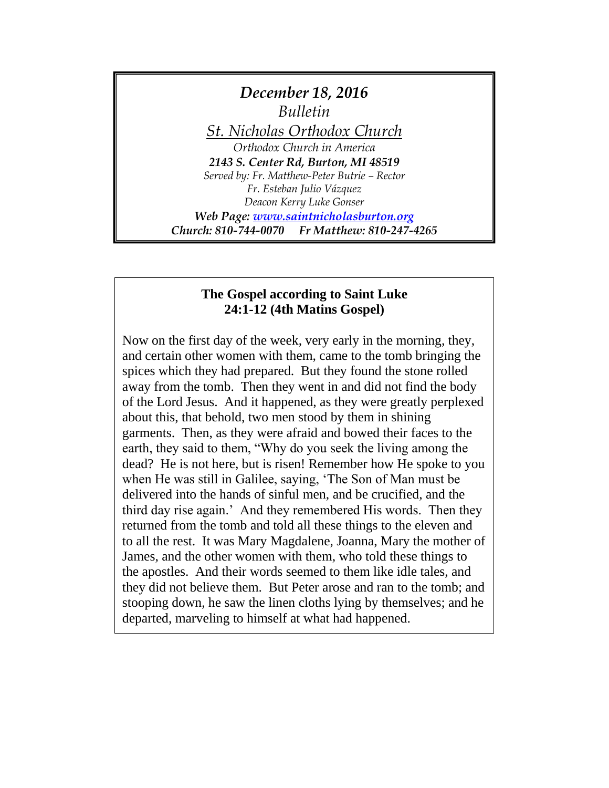

## **The Gospel according to Saint Luke 24:1-12 (4th Matins Gospel)**

Now on the first day of the week, very early in the morning, they, and certain other women with them, came to the tomb bringing the spices which they had prepared. But they found the stone rolled away from the tomb. Then they went in and did not find the body of the Lord Jesus. And it happened, as they were greatly perplexed about this, that behold, two men stood by them in shining garments. Then, as they were afraid and bowed their faces to the earth, they said to them, "Why do you seek the living among the dead? He is not here, but is risen! Remember how He spoke to you when He was still in Galilee, saying, 'The Son of Man must be delivered into the hands of sinful men, and be crucified, and the third day rise again.' And they remembered His words. Then they returned from the tomb and told all these things to the eleven and to all the rest. It was Mary Magdalene, Joanna, Mary the mother of James, and the other women with them, who told these things to the apostles. And their words seemed to them like idle tales, and they did not believe them. But Peter arose and ran to the tomb; and stooping down, he saw the linen cloths lying by themselves; and he departed, marveling to himself at what had happened.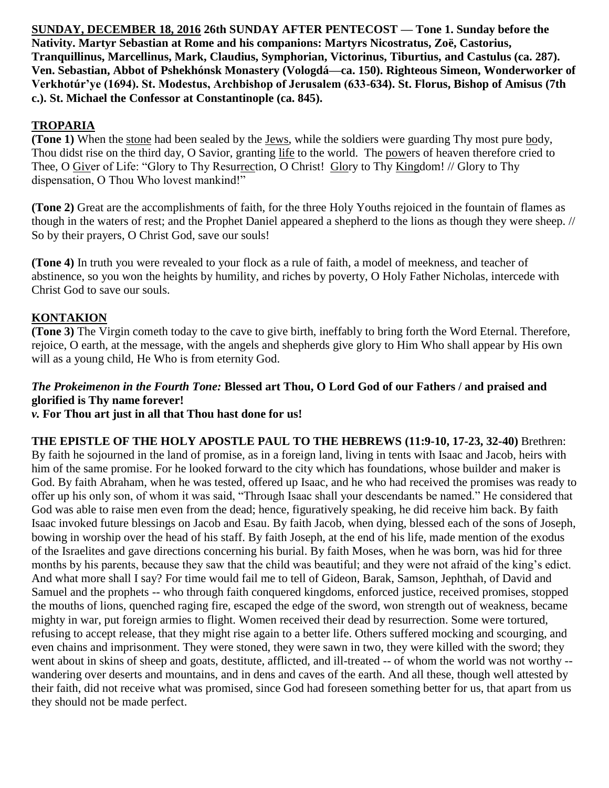**SUNDAY, DECEMBER 18, 2016 26th SUNDAY AFTER PENTECOST — Tone 1. Sunday before the Nativity. Martyr Sebastian at Rome and his companions: Martyrs Nicostratus, Zoë, Castorius, Tranquillinus, Marcellinus, Mark, Claudius, Symphorian, Victorinus, Tiburtius, and Castulus (ca. 287). Ven. Sebastian, Abbot of Pshekhónsk Monastery (Vologdá—ca. 150). Righteous Simeon, Wonderworker of Verkhotúr'ye (1694). St. Modestus, Archbishop of Jerusalem (633-634). St. Florus, Bishop of Amisus (7th c.). St. Michael the Confessor at Constantinople (ca. 845).**

# **TROPARIA**

**(Tone 1)** When the stone had been sealed by the Jews, while the soldiers were guarding Thy most pure body, Thou didst rise on the third day, O Savior, granting life to the world. The powers of heaven therefore cried to Thee, O Giver of Life: "Glory to Thy Resurrection, O Christ! Glory to Thy Kingdom! // Glory to Thy dispensation, O Thou Who lovest mankind!"

**(Tone 2)** Great are the accomplishments of faith, for the three Holy Youths rejoiced in the fountain of flames as though in the waters of rest; and the Prophet Daniel appeared a shepherd to the lions as though they were sheep. // So by their prayers, O Christ God, save our souls!

**(Tone 4)** In truth you were revealed to your flock as a rule of faith, a model of meekness, and teacher of abstinence, so you won the heights by humility, and riches by poverty, O Holy Father Nicholas, intercede with Christ God to save our souls.

## **KONTAKION**

**(Tone 3)** The Virgin cometh today to the cave to give birth, ineffably to bring forth the Word Eternal. Therefore, rejoice, O earth, at the message, with the angels and shepherds give glory to Him Who shall appear by His own will as a young child, He Who is from eternity God.

# *The Prokeimenon in the Fourth Tone:* **Blessed art Thou, O Lord God of our Fathers / and praised and glorified is Thy name forever!**

*v.* **For Thou art just in all that Thou hast done for us!**

**THE EPISTLE OF THE HOLY APOSTLE PAUL TO THE HEBREWS (11:9-10, 17-23, 32-40)** Brethren: By faith he sojourned in the land of promise, as in a foreign land, living in tents with Isaac and Jacob, heirs with him of the same promise. For he looked forward to the city which has foundations, whose builder and maker is God. By faith Abraham, when he was tested, offered up Isaac, and he who had received the promises was ready to offer up his only son, of whom it was said, "Through Isaac shall your descendants be named." He considered that God was able to raise men even from the dead; hence, figuratively speaking, he did receive him back. By faith Isaac invoked future blessings on Jacob and Esau. By faith Jacob, when dying, blessed each of the sons of Joseph, bowing in worship over the head of his staff. By faith Joseph, at the end of his life, made mention of the exodus of the Israelites and gave directions concerning his burial. By faith Moses, when he was born, was hid for three months by his parents, because they saw that the child was beautiful; and they were not afraid of the king's edict. And what more shall I say? For time would fail me to tell of Gideon, Barak, Samson, Jephthah, of David and Samuel and the prophets -- who through faith conquered kingdoms, enforced justice, received promises, stopped the mouths of lions, quenched raging fire, escaped the edge of the sword, won strength out of weakness, became mighty in war, put foreign armies to flight. Women received their dead by resurrection. Some were tortured, refusing to accept release, that they might rise again to a better life. Others suffered mocking and scourging, and even chains and imprisonment. They were stoned, they were sawn in two, they were killed with the sword; they went about in skins of sheep and goats, destitute, afflicted, and ill-treated -- of whom the world was not worthy - wandering over deserts and mountains, and in dens and caves of the earth. And all these, though well attested by their faith, did not receive what was promised, since God had foreseen something better for us, that apart from us they should not be made perfect.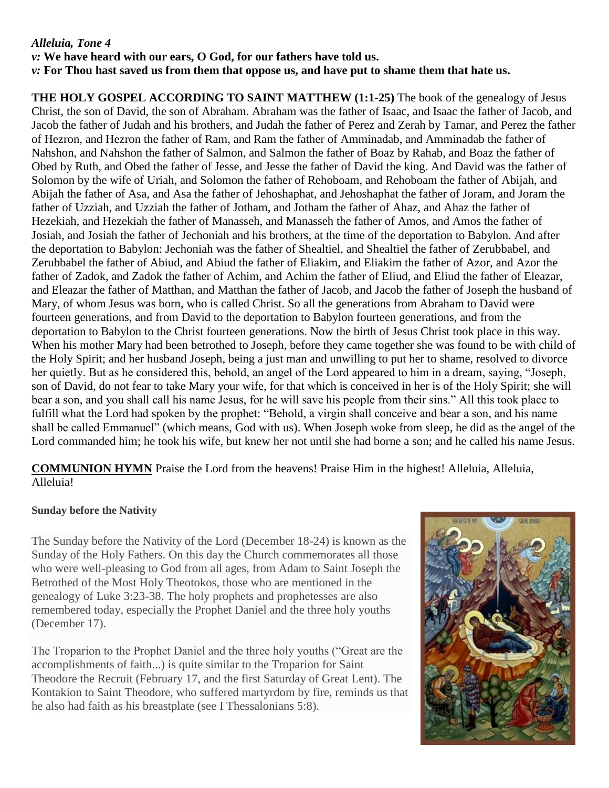## *Alleluia, Tone 4*

*v:* **We have heard with our ears, O God, for our fathers have told us.** *v:* **For Thou hast saved us from them that oppose us, and have put to shame them that hate us.**

**THE HOLY GOSPEL ACCORDING TO SAINT MATTHEW (1:1-25)** The book of the genealogy of Jesus Christ, the son of David, the son of Abraham. Abraham was the father of Isaac, and Isaac the father of Jacob, and Jacob the father of Judah and his brothers, and Judah the father of Perez and Zerah by Tamar, and Perez the father of Hezron, and Hezron the father of Ram, and Ram the father of Amminadab, and Amminadab the father of Nahshon, and Nahshon the father of Salmon, and Salmon the father of Boaz by Rahab, and Boaz the father of Obed by Ruth, and Obed the father of Jesse, and Jesse the father of David the king. And David was the father of Solomon by the wife of Uriah, and Solomon the father of Rehoboam, and Rehoboam the father of Abijah, and Abijah the father of Asa, and Asa the father of Jehoshaphat, and Jehoshaphat the father of Joram, and Joram the father of Uzziah, and Uzziah the father of Jotham, and Jotham the father of Ahaz, and Ahaz the father of Hezekiah, and Hezekiah the father of Manasseh, and Manasseh the father of Amos, and Amos the father of Josiah, and Josiah the father of Jechoniah and his brothers, at the time of the deportation to Babylon. And after the deportation to Babylon: Jechoniah was the father of Shealtiel, and Shealtiel the father of Zerubbabel, and Zerubbabel the father of Abiud, and Abiud the father of Eliakim, and Eliakim the father of Azor, and Azor the father of Zadok, and Zadok the father of Achim, and Achim the father of Eliud, and Eliud the father of Eleazar, and Eleazar the father of Matthan, and Matthan the father of Jacob, and Jacob the father of Joseph the husband of Mary, of whom Jesus was born, who is called Christ. So all the generations from Abraham to David were fourteen generations, and from David to the deportation to Babylon fourteen generations, and from the deportation to Babylon to the Christ fourteen generations. Now the birth of Jesus Christ took place in this way. When his mother Mary had been betrothed to Joseph, before they came together she was found to be with child of the Holy Spirit; and her husband Joseph, being a just man and unwilling to put her to shame, resolved to divorce her quietly. But as he considered this, behold, an angel of the Lord appeared to him in a dream, saying, "Joseph, son of David, do not fear to take Mary your wife, for that which is conceived in her is of the Holy Spirit; she will bear a son, and you shall call his name Jesus, for he will save his people from their sins." All this took place to fulfill what the Lord had spoken by the prophet: "Behold, a virgin shall conceive and bear a son, and his name shall be called Emmanuel" (which means, God with us). When Joseph woke from sleep, he did as the angel of the Lord commanded him; he took his wife, but knew her not until she had borne a son; and he called his name Jesus.

**COMMUNION HYMN** Praise the Lord from the heavens! Praise Him in the highest! Alleluia, Alleluia, Alleluia!

#### **Sunday before the Nativity**

The Sunday before the Nativity of the Lord (December 18-24) is known as the Sunday of the Holy Fathers. On this day the Church commemorates all those who were well-pleasing to God from all ages, from Adam to Saint Joseph the Betrothed of the Most Holy Theotokos, those who are mentioned in the genealogy of Luke 3:23-38. The holy prophets and prophetesses are also remembered today, especially the Prophet Daniel and the three holy youths (December 17).

The Troparion to the Prophet Daniel and the three holy youths ("Great are the accomplishments of faith...) is quite similar to the Troparion for Saint Theodore the Recruit (February 17, and the first Saturday of Great Lent). The Kontakion to Saint Theodore, who suffered martyrdom by fire, reminds us that he also had faith as his breastplate (see I Thessalonians 5:8).

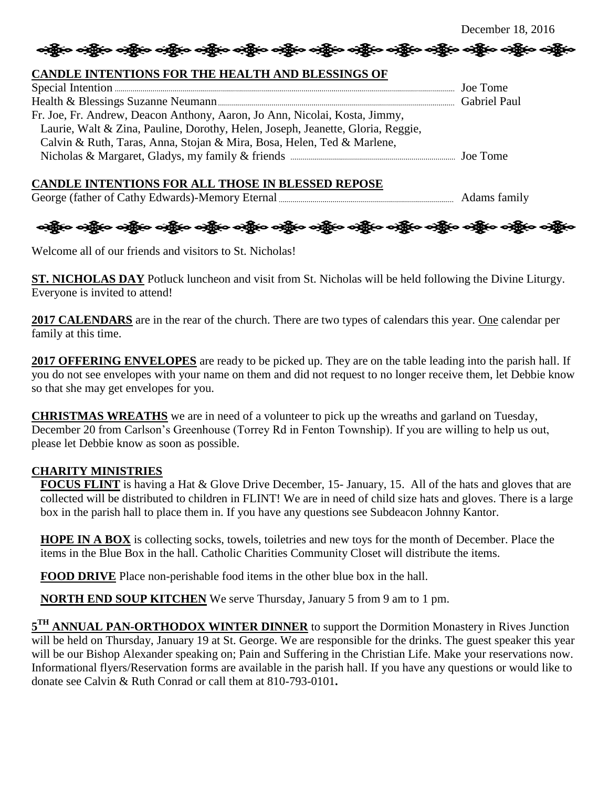# တို့မြာ ဝတ္သို့မ ဝတ္သို့မ ဝတ္သို့မ ဝတ္သို့မ ဝတ္သို့မ ဝတ္သို့မ ဝတ္သို့မ ဝတ္သို့မ ဝတ္သို့မ ဝတ္သို့မ ဝတ္သို့မ

## **CANDLE INTENTIONS FOR THE HEALTH AND BLESSINGS OF**

| Fr. Joe, Fr. Andrew, Deacon Anthony, Aaron, Jo Ann, Nicolai, Kosta, Jimmy,      |  |
|---------------------------------------------------------------------------------|--|
| Laurie, Walt & Zina, Pauline, Dorothy, Helen, Joseph, Jeanette, Gloria, Reggie, |  |
| Calvin & Ruth, Taras, Anna, Stojan & Mira, Bosa, Helen, Ted & Marlene,          |  |
|                                                                                 |  |

#### **CANDLE INTENTIONS FOR ALL THOSE IN BLESSED REPOSE**

George (father of Cathy Edwards)-Memory Eternal Adams family



Welcome all of our friends and visitors to St. Nicholas!

**ST. NICHOLAS DAY** Potluck luncheon and visit from St. Nicholas will be held following the Divine Liturgy. Everyone is invited to attend!

**2017 CALENDARS** are in the rear of the church. There are two types of calendars this year. One calendar per family at this time.

**2017 OFFERING ENVELOPES** are ready to be picked up. They are on the table leading into the parish hall. If you do not see envelopes with your name on them and did not request to no longer receive them, let Debbie know so that she may get envelopes for you.

**CHRISTMAS WREATHS** we are in need of a volunteer to pick up the wreaths and garland on Tuesday, December 20 from Carlson's Greenhouse (Torrey Rd in Fenton Township). If you are willing to help us out, please let Debbie know as soon as possible.

## **CHARITY MINISTRIES**

**FOCUS FLINT** is having a Hat & Glove Drive December, 15- January, 15. All of the hats and gloves that are collected will be distributed to children in FLINT! We are in need of child size hats and gloves. There is a large box in the parish hall to place them in. If you have any questions see Subdeacon Johnny Kantor.

**HOPE IN A BOX** is collecting socks, towels, toiletries and new toys for the month of December. Place the items in the Blue Box in the hall. Catholic Charities Community Closet will distribute the items.

**FOOD DRIVE** Place non-perishable food items in the other blue box in the hall.

**NORTH END SOUP KITCHEN** We serve Thursday, January 5 from 9 am to 1 pm.

5<sup>TH</sup> ANNUAL PAN-ORTHODOX WINTER DINNER to support the Dormition Monastery in Rives Junction will be held on Thursday, January 19 at St. George. We are responsible for the drinks. The guest speaker this year will be our Bishop Alexander speaking on; Pain and Suffering in the Christian Life. Make your reservations now. Informational flyers/Reservation forms are available in the parish hall. If you have any questions or would like to donate see Calvin & Ruth Conrad or call them at 810-793-0101**.**